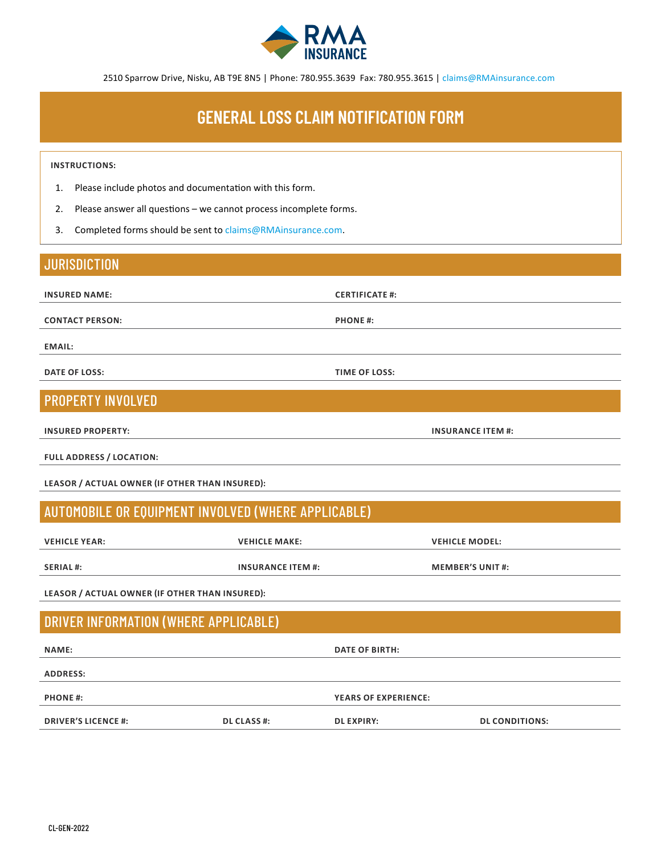

2510 Sparrow Drive, Nisku, AB T9E 8N5 | Phone: 780.955.3639 Fax: 780.955.3615 | claims@RMAinsurance.com

## **GENERAL LOSS CLAIM NOTIFICATION FORM**

#### **INSTRUCTIONS:**

- 1. Please include photos and documentation with this form.
- 2. Please answer all questions we cannot process incomplete forms.
- 3. Completed forms should be sent to claims@RMAinsurance.com.

#### **JURISDICTION**

**INSURED NAME: CERTIFICATE #:**

**CONTACT PERSON: PHONE #:**

**EMAIL:**

**DATE OF LOSS: TIME OF LOSS:**

#### PROPERTY INVOLVED

**INSURED PROPERTY: INSURANCE ITEM #:**

**FULL ADDRESS / LOCATION:** 

**LEASOR / ACTUAL OWNER (IF OTHER THAN INSURED):**

#### AUTOMOBILE OR EQUIPMENT INVOLVED (WHERE APPLICABLE)

**VEHICLE YEAR: VEHICLE MAKE: VEHICLE MODEL:**

**SERIAL #: INSURANCE ITEM #: MEMBER'S UNIT #:**

**LEASOR / ACTUAL OWNER (IF OTHER THAN INSURED):**

### DRIVER INFORMATION (WHERE APPLICABLE)

| <b>NAME:</b>               |                    | <b>DATE OF BIRTH:</b>       |                       |
|----------------------------|--------------------|-----------------------------|-----------------------|
| <b>ADDRESS:</b>            |                    |                             |                       |
| <b>PHONE#:</b>             |                    | <b>YEARS OF EXPERIENCE:</b> |                       |
| <b>DRIVER'S LICENCE #:</b> | <b>DL CLASS #:</b> | <b>DL EXPIRY:</b>           | <b>DL CONDITIONS:</b> |
|                            |                    |                             |                       |